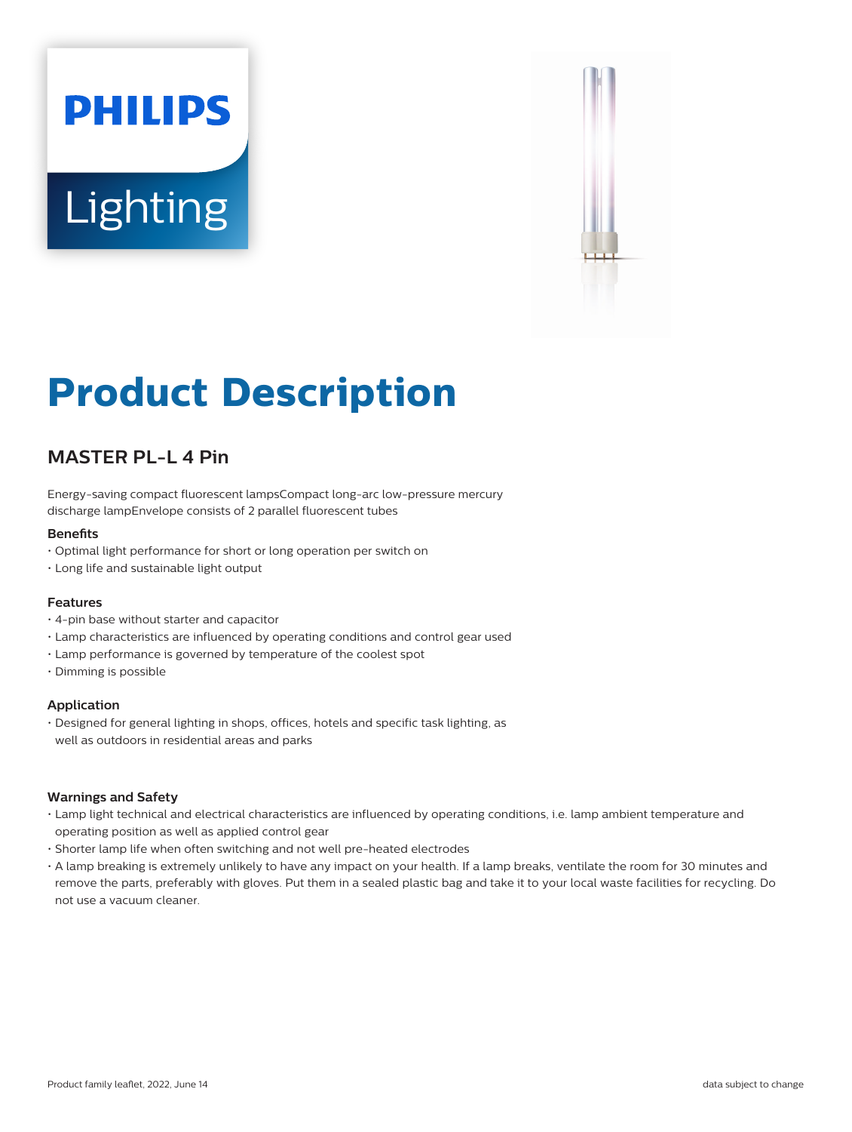# **PHILIPS Lighting**



# **Product Description**

# **MASTER PL-L 4 Pin**

Energy-saving compact fluorescent lampsCompact long-arc low-pressure mercury discharge lampEnvelope consists of 2 parallel fluorescent tubes

#### **Benefits**

- Optimal light performance for short or long operation per switch on
- Long life and sustainable light output

#### **Features**

- 4-pin base without starter and capacitor
- Lamp characteristics are influenced by operating conditions and control gear used
- Lamp performance is governed by temperature of the coolest spot
- Dimming is possible

#### **Application**

• Designed for general lighting in shops, offices, hotels and specific task lighting, as well as outdoors in residential areas and parks

#### **Warnings and Safety**

- Lamp light technical and electrical characteristics are influenced by operating conditions, i.e. lamp ambient temperature and operating position as well as applied control gear
- Shorter lamp life when often switching and not well pre-heated electrodes
- A lamp breaking is extremely unlikely to have any impact on your health. If a lamp breaks, ventilate the room for 30 minutes and remove the parts, preferably with gloves. Put them in a sealed plastic bag and take it to your local waste facilities for recycling. Do not use a vacuum cleaner.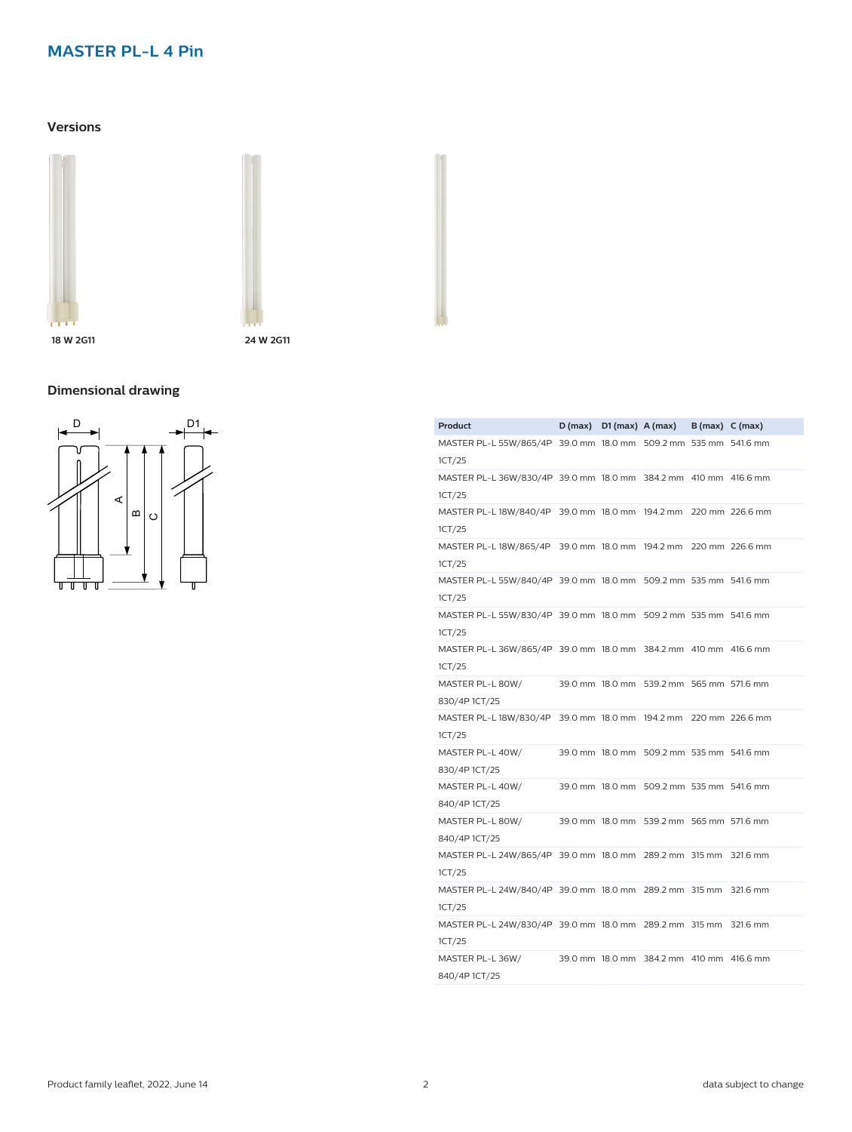# **Versions**





**18 W 2G11 24 W 2G11**

# **Dimensional drawing**



| Product                                                                   |  | $D(max)$ $D1(max)$ $A(max)$ $B(max)$ $C(max)$ |          |
|---------------------------------------------------------------------------|--|-----------------------------------------------|----------|
| MASTER PL-L 55W/865/4P 39.0 mm 18.0 mm 509.2 mm 535 mm 541.6 mm<br>1CT/25 |  |                                               |          |
| MASTER PL-L 36W/830/4P 39.0 mm 18.0 mm 384.2 mm 410 mm 416.6 mm<br>1CT/25 |  |                                               |          |
| MASTER PL-L 18W/840/4P 39.0 mm 18.0 mm 194.2 mm 220 mm 226.6 mm<br>1CT/25 |  |                                               |          |
| MASTER PL-L 18W/865/4P 39.0 mm 18.0 mm 194.2 mm 220 mm 226.6 mm<br>1CT/25 |  |                                               |          |
| MASTER PL-L 55W/840/4P 39.0 mm 18.0 mm 509.2 mm 535 mm 541.6 mm<br>1CT/25 |  |                                               |          |
| MASTER PL-L 55W/830/4P 39.0 mm 18.0 mm 509.2 mm 535 mm 541.6 mm<br>1CT/25 |  |                                               |          |
| MASTER PL-L 36W/865/4P 39.0 mm 18.0 mm 384.2 mm 410 mm 416.6 mm<br>1CT/25 |  |                                               |          |
| MASTER PL-L 80W/<br>830/4P1CT/25                                          |  | 39.0 mm 18.0 mm 539.2 mm 565 mm 571.6 mm      |          |
| MASTER PL-L 18W/830/4P 39.0 mm 18.0 mm 194.2 mm 220 mm 226.6 mm<br>1CT/25 |  |                                               |          |
| MASTER PL-L 40W/<br>830/4P 1CT/25                                         |  | 39.0 mm 18.0 mm 509.2 mm 535 mm 541.6 mm      |          |
| MASTER PL-L 40W/<br>840/4P 1CT/25                                         |  | 39.0 mm 18.0 mm 509.2 mm 535 mm 541.6 mm      |          |
| MASTER PL-L 80W/<br>840/4P 1CT/25                                         |  | 39.0 mm 18.0 mm 539.2 mm 565 mm 571.6 mm      |          |
| MASTER PL-L 24W/865/4P 39.0 mm 18.0 mm 289.2 mm 315 mm<br>1CT/25          |  |                                               | 321.6 mm |
| MASTER PL-L 24W/840/4P 39.0 mm 18.0 mm 289.2 mm 315 mm<br>1CT/25          |  |                                               | 321.6 mm |
| MASTER PL-L 24W/830/4P 39.0 mm 18.0 mm 289.2 mm 315 mm 321.6 mm<br>1CT/25 |  |                                               |          |
| MASTER PL-L 36W/<br>840/4P 1CT/25                                         |  | 39.0 mm 18.0 mm 384.2 mm 410 mm 416.6 mm      |          |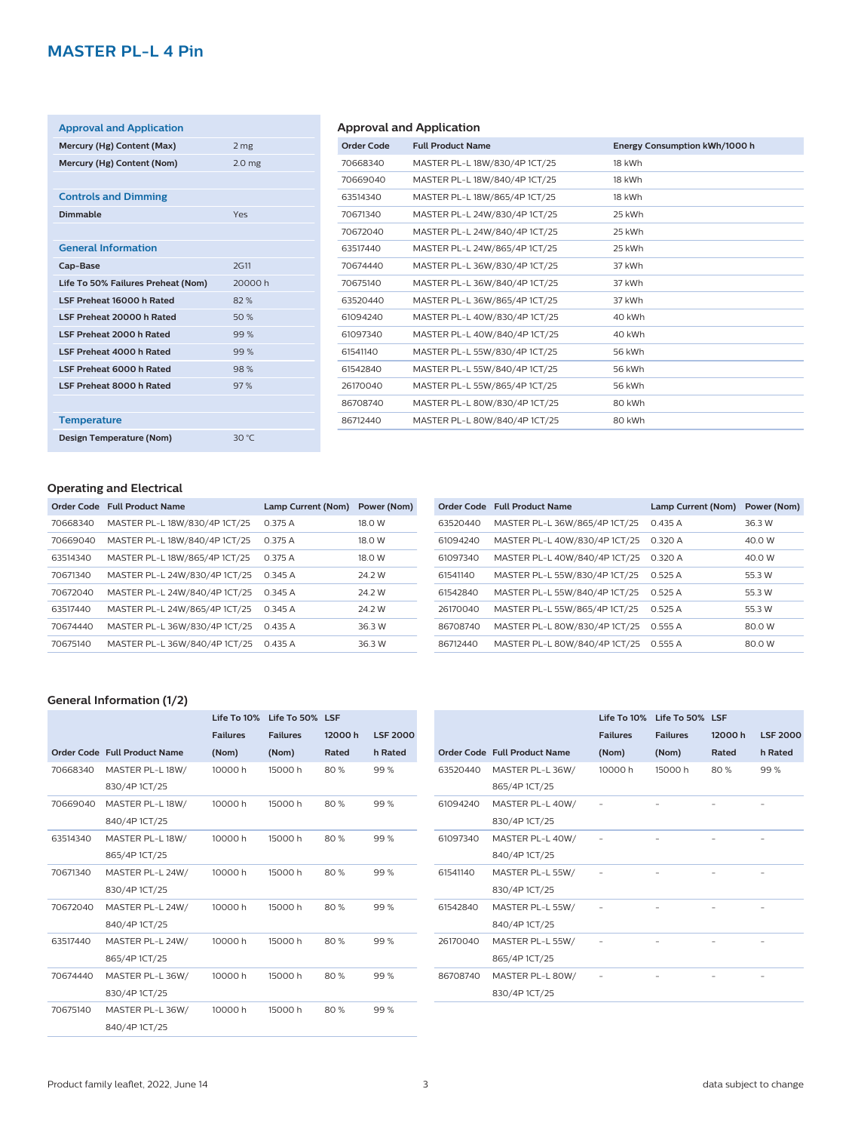| <b>Approval and Application</b>    |                   |
|------------------------------------|-------------------|
| Mercury (Hg) Content (Max)         | 2 <sub>mg</sub>   |
| Mercury (Hg) Content (Nom)         | 2.0 <sub>mg</sub> |
|                                    |                   |
| <b>Controls and Dimming</b>        |                   |
| Dimmable                           | Yes               |
|                                    |                   |
| <b>General Information</b>         |                   |
| Cap-Base                           | <b>2G11</b>       |
| Life To 50% Failures Preheat (Nom) | 20000 h           |
| LSF Preheat 16000 h Rated          | 82%               |
| LSF Preheat 20000 h Rated          | 50%               |
| LSF Preheat 2000 h Rated           | 99%               |
| LSF Preheat 4000 h Rated           | 99%               |
| LSF Preheat 6000 h Rated           | 98%               |
| <b>LSF Preheat 8000 h Rated</b>    | 97%               |
|                                    |                   |
| <b>Temperature</b>                 |                   |
| Design Temperature (Nom)           | 30 °C             |

# **Approval and Application**

| <b>Order Code</b> | <b>Full Product Name</b>      | Energy Consumption kWh/1000 h |
|-------------------|-------------------------------|-------------------------------|
| 70668340          | MASTER PL-L 18W/830/4P 1CT/25 | 18 kWh                        |
| 70669040          | MASTER PL-L 18W/840/4P 1CT/25 | 18 kWh                        |
| 63514340          | MASTER PL-L 18W/865/4P 1CT/25 | 18 kWh                        |
| 70671340          | MASTER PL-L 24W/830/4P 1CT/25 | 25 kWh                        |
| 70672040          | MASTER PL-L 24W/840/4P 1CT/25 | 25 kWh                        |
| 63517440          | MASTER PL-L 24W/865/4P 1CT/25 | 25 kWh                        |
| 70674440          | MASTER PL-L 36W/830/4P 1CT/25 | 37 kWh                        |
| 70675140          | MASTER PL-L 36W/840/4P 1CT/25 | 37 kWh                        |
| 63520440          | MASTER PL-L 36W/865/4P 1CT/25 | 37 kWh                        |
| 61094240          | MASTER PL-L 40W/830/4P 1CT/25 | 40 kWh                        |
| 61097340          | MASTER PL-L 40W/840/4P 1CT/25 | 40 kWh                        |
| 61541140          | MASTER PL-L 55W/830/4P 1CT/25 | 56 kWh                        |
| 61542840          | MASTER PL-L 55W/840/4P 1CT/25 | 56 kWh                        |
| 26170040          | MASTER PL-L 55W/865/4P 1CT/25 | 56 kWh                        |
| 86708740          | MASTER PL-L 80W/830/4P 1CT/25 | 80 kWh                        |
| 86712440          | MASTER PL-L 80W/840/4P 1CT/25 | 80 kWh                        |
|                   |                               |                               |

# **Operating and Electrical**

|          | Order Code Full Product Name  | Lamp Current (Nom) | Power (Nom) |
|----------|-------------------------------|--------------------|-------------|
| 70668340 | MASTER PL-L 18W/830/4P 1CT/25 | 0.375A             | 18.0 W      |
| 70669040 | MASTER PL-L 18W/840/4P 1CT/25 | 0.375A             | 18.0 W      |
| 63514340 | MASTER PL-L 18W/865/4P 1CT/25 | 0.375A             | 18.0 W      |
| 70671340 | MASTER PL-L 24W/830/4P 1CT/25 | 0.345A             | 24.2 W      |
| 70672040 | MASTER PL-L 24W/840/4P 1CT/25 | 0.345A             | 24.2 W      |
| 63517440 | MASTER PL-L 24W/865/4P 1CT/25 | 0.345A             | 24.2 W      |
| 70674440 | MASTER PL-L 36W/830/4P 1CT/25 | 0.435A             | 36.3 W      |
| 70675140 | MASTER PL-L 36W/840/4P 1CT/25 | 0.435A             | 36.3 W      |
|          |                               |                    |             |

|          | Order Code Full Product Name  | Lamp Current (Nom) | Power (Nom) |
|----------|-------------------------------|--------------------|-------------|
| 63520440 | MASTER PL-L 36W/865/4P 1CT/25 | 0.435A             | 36.3 W      |
| 61094240 | MASTER PL-L 40W/830/4P 1CT/25 | 0.320A             | 40.0 W      |
| 61097340 | MASTER PL-L 40W/840/4P 1CT/25 | 0.320A             | 40.0 W      |
| 61541140 | MASTER PL-L 55W/830/4P 1CT/25 | 0.525A             | 55.3 W      |
| 61542840 | MASTER PL-L 55W/840/4P 1CT/25 | 0.525A             | 55.3 W      |
| 26170040 | MASTER PL-L 55W/865/4P 1CT/25 | 0.525A             | 55.3 W      |
| 86708740 | MASTER PL-L 80W/830/4P 1CT/25 | 0.555A             | 80.0 W      |
| 86712440 | MASTER PL-L 80W/840/4P 1CT/25 | 0.555A             | 80.0 W      |
|          |                               |                    |             |

# **General Information (1/2)**

|          |                                     |                 | Life To 10% Life To 50% LSF |        |                 |
|----------|-------------------------------------|-----------------|-----------------------------|--------|-----------------|
|          |                                     | <b>Failures</b> | <b>Failures</b>             | 12000h | <b>LSF 2000</b> |
|          | <b>Order Code Full Product Name</b> | (Nom)           | (Nom)                       | Rated  | h Rated         |
| 70668340 | MASTER PL-L 18W/                    | 10000h          | 15000h                      | 80%    | 99%             |
|          | 830/4P 1CT/25                       |                 |                             |        |                 |
| 70669040 | MASTER PL-L 18W/                    | 10000h          | 15000 h                     | 80 %   | 99%             |
|          | 840/4P 1CT/25                       |                 |                             |        |                 |
| 63514340 | MASTER PL-L 18W/                    | 10000h          | 15000h                      | 80 %   | 99%             |
|          | 865/4P 1CT/25                       |                 |                             |        |                 |
| 70671340 | MASTER PL-L 24W/                    | 10000 h         | 15000h                      | 80 %   | 99%             |
|          | 830/4P 1CT/25                       |                 |                             |        |                 |
| 70672040 | MASTER PL-L 24W/                    | 10000h          | 15000 h                     | 80 %   | 99%             |
|          | 840/4P 1CT/25                       |                 |                             |        |                 |
| 63517440 | MASTER PL-L 24W/                    | 10000 h         | 15000h                      | 80 %   | 99%             |
|          | 865/4P 1CT/25                       |                 |                             |        |                 |
| 70674440 | MASTER PL-L 36W/                    | 10000 h         | 15000h                      | 80 %   | 99%             |
|          | 830/4P 1CT/25                       |                 |                             |        |                 |
| 70675140 | MASTER PL-L 36W/                    | 10000 h         | 15000 h                     | 80 %   | 99%             |
|          | 840/4P 1CT/25                       |                 |                             |        |                 |

|          |                              |                 | Life To 10% Life To 50% LSF |         |                 |
|----------|------------------------------|-----------------|-----------------------------|---------|-----------------|
|          |                              | <b>Failures</b> | <b>Failures</b>             | 12000 h | <b>LSF 2000</b> |
|          | Order Code Full Product Name | (Nom)           | (Nom)                       | Rated   | h Rated         |
| 63520440 | MASTER PL-L 36W/             | 10000 h         | 15000h                      | 80%     | 99%             |
|          | 865/4P 1CT/25                |                 |                             |         |                 |
| 61094240 | MASTER PL-L 40W/             |                 |                             |         |                 |
|          | 830/4P 1CT/25                |                 |                             |         |                 |
| 61097340 | MASTER PL-L 40W/             |                 |                             |         |                 |
|          | 840/4P 1CT/25                |                 |                             |         |                 |
| 61541140 | MASTER PL-L 55W/             |                 |                             |         |                 |
|          | 830/4P 1CT/25                |                 |                             |         |                 |
| 61542840 | MASTER PL-L 55W/             |                 |                             |         |                 |
|          | 840/4P 1CT/25                |                 |                             |         |                 |
| 26170040 | MASTER PL-L 55W/             |                 |                             |         |                 |
|          | 865/4P 1CT/25                |                 |                             |         |                 |
| 86708740 | MASTER PL-L 80W/             |                 |                             |         |                 |
|          | 830/4P 1CT/25                |                 |                             |         |                 |
|          |                              |                 |                             |         |                 |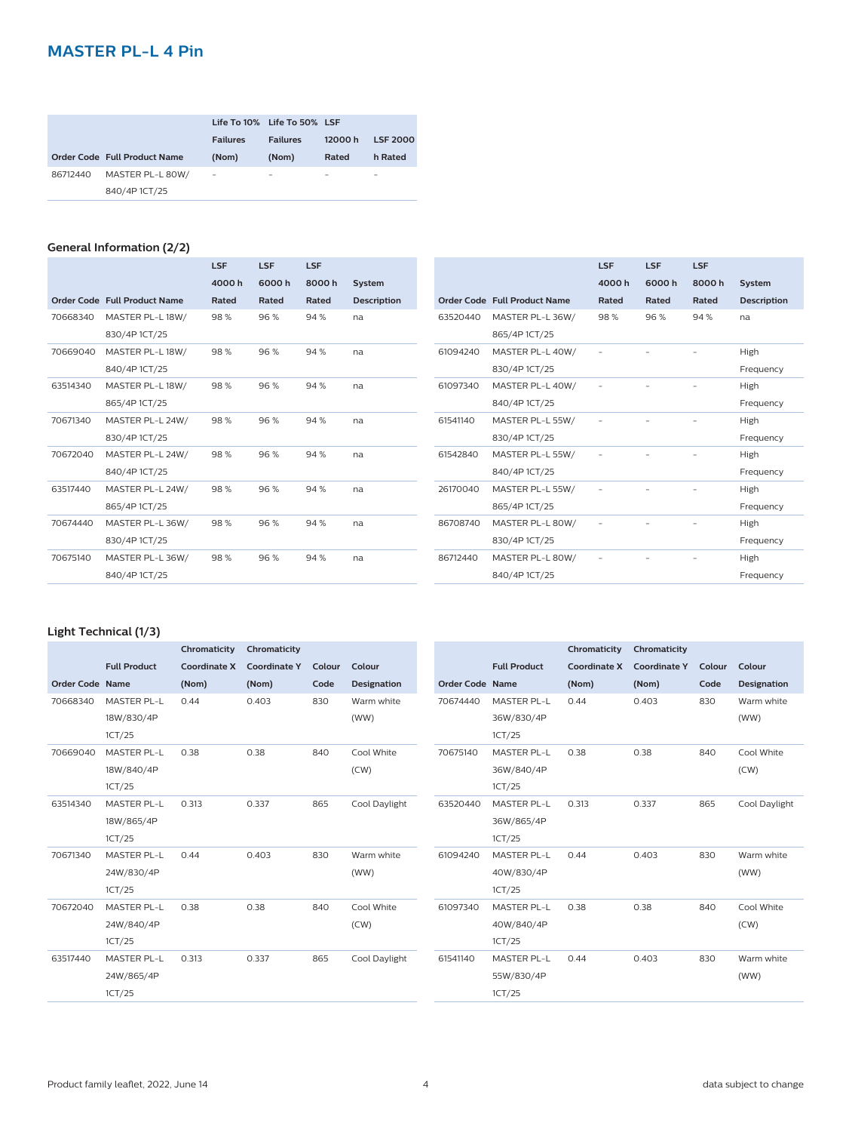|          |                              | <b>Failures</b>          | Life To 10% Life To 50% LSF<br><b>Failures</b> | 12000h | <b>LSF 2000</b> |
|----------|------------------------------|--------------------------|------------------------------------------------|--------|-----------------|
|          | Order Code Full Product Name | (Nom)                    | (Nom)                                          | Rated  | h Rated         |
| 86712440 | MASTER PL-L 80W/             | $\overline{\phantom{a}}$ | $\overline{\phantom{0}}$                       | -      | -               |
|          | 840/4P 1CT/25                |                          |                                                |        |                 |

# **General Information (2/2)**

|          |                              | <b>LSF</b> | <b>LSF</b> | <b>LSF</b> |                    |
|----------|------------------------------|------------|------------|------------|--------------------|
|          |                              | 4000h      | 6000h      | 8000h      | System             |
|          | Order Code Full Product Name | Rated      | Rated      | Rated      | <b>Description</b> |
| 70668340 | MASTER PL-L 18W/             | 98%        | 96%        | 94%        | na                 |
|          | 830/4P 1CT/25                |            |            |            |                    |
| 70669040 | MASTER PL-L 18W/             | 98%        | 96%        | 94%        | na                 |
|          | 840/4P 1CT/25                |            |            |            |                    |
| 63514340 | MASTER PL-L 18W/             | 98%        | 96%        | 94%        | na                 |
|          | 865/4P 1CT/25                |            |            |            |                    |
| 70671340 | MASTER PL-L 24W/             | 98%        | 96%        | 94%        | na                 |
|          | 830/4P 1CT/25                |            |            |            |                    |
| 70672040 | MASTER PL-L 24W/             | 98%        | 96%        | 94%        | na                 |
|          | 840/4P 1CT/25                |            |            |            |                    |
| 63517440 | MASTER PL-L 24W/             | 98%        | 96%        | 94%        | na                 |
|          | 865/4P 1CT/25                |            |            |            |                    |
| 70674440 | MASTER PL-L 36W/             | 98%        | 96%        | 94%        | na                 |
|          | 830/4P 1CT/25                |            |            |            |                    |
| 70675140 | MASTER PL-L 36W/             | 98%        | 96%        | 94%        | na                 |
|          | 840/4P 1CT/25                |            |            |            |                    |

|          |                              | LSF   | <b>LSF</b> | <b>LSF</b> |                    |
|----------|------------------------------|-------|------------|------------|--------------------|
|          |                              | 4000h | 6000h      | 8000h      | <b>System</b>      |
|          | Order Code Full Product Name | Rated | Rated      | Rated      | <b>Description</b> |
| 63520440 | MASTER PL-L 36W/             | 98%   | 96%        | 94 %       | na                 |
|          | 865/4P 1CT/25                |       |            |            |                    |
| 61094240 | MASTER PL-L 40W/             |       |            |            | High               |
|          | 830/4P 1CT/25                |       |            |            | Frequency          |
| 61097340 | MASTER PL-L 40W/             |       |            |            | High               |
|          | 840/4P 1CT/25                |       |            |            | Frequency          |
| 61541140 | MASTER PL-L 55W/             |       |            |            | High               |
|          | 830/4P 1CT/25                |       |            |            | Frequency          |
| 61542840 | MASTER PL-L 55W/             |       |            |            | High               |
|          | 840/4P 1CT/25                |       |            |            | Frequency          |
| 26170040 | MASTER PL-L 55W/             |       |            |            | High               |
|          | 865/4P 1CT/25                |       |            |            | Frequency          |
| 86708740 | MASTER PL-L 80W/             |       |            |            | High               |
|          | 830/4P 1CT/25                |       |            |            | Frequency          |
| 86712440 | MASTER PL-L 80W/             |       |            |            | High               |
|          | 840/4P 1CT/25                |       |            |            | Frequency          |

#### **Light Technical (1/3)**

|                 |                     | Chromaticity | Chromaticity        |        |                    |                 |                     | Chromaticity        | Chromaticity        |        |                    |
|-----------------|---------------------|--------------|---------------------|--------|--------------------|-----------------|---------------------|---------------------|---------------------|--------|--------------------|
|                 | <b>Full Product</b> | Coordinate X | <b>Coordinate Y</b> | Colour | Colour             |                 | <b>Full Product</b> | <b>Coordinate X</b> | <b>Coordinate Y</b> | Colour | Colour             |
| Order Code Name |                     | (Nom)        | (Nom)               | Code   | <b>Designation</b> | Order Code Name |                     | (Nom)               | (Nom)               | Code   | <b>Designation</b> |
| 70668340        | <b>MASTER PL-L</b>  | 0.44         | 0.403               | 830    | Warm white         | 70674440        | <b>MASTER PL-L</b>  | 0.44                | 0.403               | 830    | Warm white         |
|                 | 18W/830/4P          |              |                     |        | (WW)               |                 | 36W/830/4P          |                     |                     |        | (WW)               |
|                 | 1CT/25              |              |                     |        |                    |                 | 1CT/25              |                     |                     |        |                    |
| 70669040        | <b>MASTER PL-L</b>  | 0.38         | 0.38                | 840    | Cool White         | 70675140        | <b>MASTER PL-L</b>  | 0.38                | 0.38                | 840    | Cool White         |
|                 | 18W/840/4P          |              |                     |        | (CW)               |                 | 36W/840/4P          |                     |                     |        | (CW)               |
|                 | 1CT/25              |              |                     |        |                    |                 | 1CT/25              |                     |                     |        |                    |
| 63514340        | <b>MASTER PL-L</b>  | 0.313        | 0.337               | 865    | Cool Daylight      | 63520440        | <b>MASTER PL-L</b>  | 0.313               | 0.337               | 865    | Cool Daylight      |
|                 | 18W/865/4P          |              |                     |        |                    |                 | 36W/865/4P          |                     |                     |        |                    |
|                 | 1CT/25              |              |                     |        |                    |                 | 1CT/25              |                     |                     |        |                    |
| 70671340        | <b>MASTER PL-L</b>  | 0.44         | 0.403               | 830    | Warm white         | 61094240        | MASTER PL-L         | 0.44                | 0.403               | 830    | Warm white         |
|                 | 24W/830/4P          |              |                     |        | (WW)               |                 | 40W/830/4P          |                     |                     |        | (WW)               |
|                 | 1CT/25              |              |                     |        |                    |                 | 1CT/25              |                     |                     |        |                    |
| 70672040        | <b>MASTER PL-L</b>  | 0.38         | 0.38                | 840    | Cool White         | 61097340        | <b>MASTER PL-L</b>  | 0.38                | 0.38                | 840    | Cool White         |
|                 | 24W/840/4P          |              |                     |        | (CW)               |                 | 40W/840/4P          |                     |                     |        | (CW)               |
|                 | 1CT/25              |              |                     |        |                    |                 | 1CT/25              |                     |                     |        |                    |
| 63517440        | <b>MASTER PL-L</b>  | 0.313        | 0.337               | 865    | Cool Daylight      | 61541140        | <b>MASTER PL-L</b>  | 0.44                | 0.403               | 830    | Warm white         |
|                 | 24W/865/4P          |              |                     |        |                    |                 | 55W/830/4P          |                     |                     |        | (WW)               |
|                 | 1CT/25              |              |                     |        |                    |                 | 1CT/25              |                     |                     |        |                    |
|                 |                     |              |                     |        |                    |                 |                     |                     |                     |        |                    |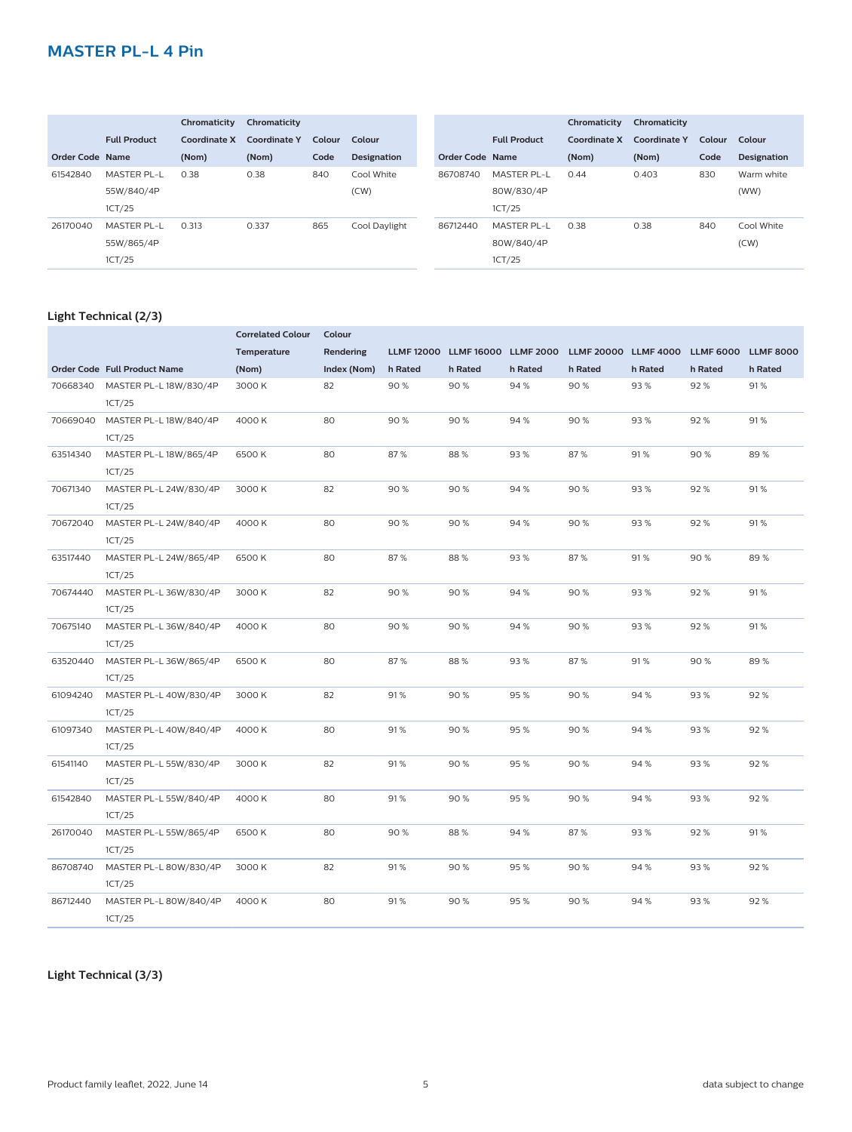|                 |                     | Chromaticity | Chromaticity        |        |                    |                 |                     | Chromaticity | Chromaticity |        |                    |
|-----------------|---------------------|--------------|---------------------|--------|--------------------|-----------------|---------------------|--------------|--------------|--------|--------------------|
|                 | <b>Full Product</b> | Coordinate X | <b>Coordinate Y</b> | Colour | Colour             |                 | <b>Full Product</b> | Coordinate X | Coordinate Y | Colour | Colour             |
| Order Code Name |                     | (Nom)        | (Nom)               | Code   | <b>Designation</b> | Order Code Name |                     | (Nom)        | (Nom)        | Code   | <b>Designation</b> |
| 61542840        | <b>MASTER PL-L</b>  | 0.38         | 0.38                | 840    | Cool White         | 86708740        | <b>MASTER PL-L</b>  | 0.44         | 0.403        | 830    | Warm white         |
|                 | 55W/840/4P          |              |                     |        | (CW)               |                 | 80W/830/4P          |              |              |        | (WW)               |
|                 | 1CT/25              |              |                     |        |                    |                 | 1CT/25              |              |              |        |                    |
| 26170040        | <b>MASTER PL-L</b>  | 0.313        | 0.337               | 865    | Cool Daylight      | 86712440        | <b>MASTER PL-L</b>  | 0.38         | 0.38         | 840    | Cool White         |
|                 | 55W/865/4P          |              |                     |        |                    |                 | 80W/840/4P          |              |              |        | (CW)               |
|                 | 1CT/25              |              |                     |        |                    |                 | 1CT/25              |              |              |        |                    |

#### **Light Technical (2/3)**

|          |                              | <b>Correlated Colour</b> | Colour      |         |                       |                  |                      |         |                  |                  |
|----------|------------------------------|--------------------------|-------------|---------|-----------------------|------------------|----------------------|---------|------------------|------------------|
|          |                              | Temperature              | Rendering   |         | LLMF 12000 LLMF 16000 | <b>LLMF 2000</b> | LLMF 20000 LLMF 4000 |         | <b>LLMF 6000</b> | <b>LLMF 8000</b> |
|          | Order Code Full Product Name | (Nom)                    | Index (Nom) | h Rated | h Rated               | h Rated          | h Rated              | h Rated | h Rated          | h Rated          |
| 70668340 | MASTER PL-L 18W/830/4P       | 3000 K                   | 82          | 90%     | 90%                   | 94%              | 90%                  | 93%     | 92%              | 91%              |
|          | 1CT/25                       |                          |             |         |                       |                  |                      |         |                  |                  |
| 70669040 | MASTER PL-L 18W/840/4P       | 4000 K                   | 80          | 90%     | 90%                   | 94%              | 90%                  | 93%     | 92%              | 91%              |
|          | 1CT/25                       |                          |             |         |                       |                  |                      |         |                  |                  |
| 63514340 | MASTER PL-L 18W/865/4P       | 6500K                    | 80          | 87%     | 88%                   | 93%              | 87%                  | 91%     | 90%              | 89%              |
|          | 1CT/25                       |                          |             |         |                       |                  |                      |         |                  |                  |
| 70671340 | MASTER PL-L 24W/830/4P       | 3000 K                   | 82          | 90%     | 90%                   | 94%              | 90%                  | 93%     | 92%              | 91%              |
|          | 1CT/25                       |                          |             |         |                       |                  |                      |         |                  |                  |
| 70672040 | MASTER PL-L 24W/840/4P       | 4000 K                   | 80          | 90%     | 90%                   | 94 %             | 90%                  | 93%     | 92%              | 91%              |
|          | 1CT/25                       |                          |             |         |                       |                  |                      |         |                  |                  |
| 63517440 | MASTER PL-L 24W/865/4P       | 6500K                    | 80          | 87%     | 88%                   | 93%              | 87%                  | 91%     | 90%              | 89%              |
|          | 1CT/25                       |                          |             |         |                       |                  |                      |         |                  |                  |
| 70674440 | MASTER PL-L 36W/830/4P       | 3000 K                   | 82          | 90%     | 90%                   | 94%              | 90%                  | 93%     | 92%              | 91%              |
|          | 1CT/25                       |                          |             |         |                       |                  |                      |         |                  |                  |
| 70675140 | MASTER PL-L 36W/840/4P       | 4000 K                   | 80          | 90%     | 90%                   | 94%              | 90%                  | 93%     | 92%              | 91%              |
|          | 1CT/25                       |                          |             |         |                       |                  |                      |         |                  |                  |
| 63520440 | MASTER PL-L 36W/865/4P       | 6500K                    | 80          | 87%     | 88%                   | 93%              | 87%                  | 91%     | 90%              | 89%              |
|          | 1CT/25                       |                          |             |         |                       |                  |                      |         |                  |                  |
| 61094240 | MASTER PL-L 40W/830/4P       | 3000 K                   | 82          | 91%     | 90%                   | 95%              | 90%                  | 94%     | 93%              | 92%              |
|          | 1CT/25                       |                          |             |         |                       |                  |                      |         |                  |                  |
| 61097340 | MASTER PL-L 40W/840/4P       | 4000 K                   | 80          | 91%     | 90%                   | 95%              | 90%                  | 94%     | 93%              | 92%              |
|          | 1CT/25                       |                          |             |         |                       |                  |                      |         |                  |                  |
| 61541140 | MASTER PL-L 55W/830/4P       | 3000 K                   | 82          | 91%     | 90%                   | 95%              | 90%                  | 94%     | 93%              | 92%              |
|          | 1CT/25                       |                          |             |         |                       |                  |                      |         |                  |                  |
| 61542840 | MASTER PL-L 55W/840/4P       | 4000 K                   | 80          | 91%     | 90%                   | 95%              | 90%                  | 94%     | 93%              | 92%              |
|          | 1CT/25                       |                          |             |         |                       |                  |                      |         |                  |                  |
| 26170040 | MASTER PL-L 55W/865/4P       | 6500 K                   | 80          | 90%     | 88%                   | 94 %             | 87%                  | 93%     | 92%              | 91%              |
|          | 1CT/25                       |                          |             |         |                       |                  |                      |         |                  |                  |
| 86708740 | MASTER PL-L 80W/830/4P       | 3000 K                   | 82          | 91%     | 90%                   | 95%              | 90%                  | 94%     | 93%              | 92%              |
|          | 1CT/25                       |                          |             |         |                       |                  |                      |         |                  |                  |
| 86712440 | MASTER PL-L 80W/840/4P       | 4000 K                   | 80          | 91%     | 90%                   | 95%              | 90%                  | 94%     | 93%              | 92%              |
|          | 1CT/25                       |                          |             |         |                       |                  |                      |         |                  |                  |

**Light Technical (3/3)**